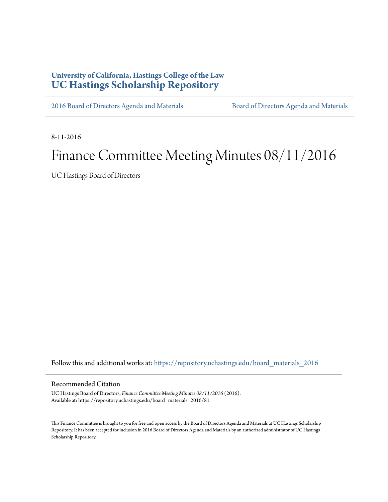# **University of California, Hastings College of the Law [UC Hastings Scholarship Repository](https://repository.uchastings.edu?utm_source=repository.uchastings.edu%2Fboard_materials_2016%2F81&utm_medium=PDF&utm_campaign=PDFCoverPages)**

[2016 Board of Directors Agenda and Materials](https://repository.uchastings.edu/board_materials_2016?utm_source=repository.uchastings.edu%2Fboard_materials_2016%2F81&utm_medium=PDF&utm_campaign=PDFCoverPages) [Board of Directors Agenda and Materials](https://repository.uchastings.edu/board_materials?utm_source=repository.uchastings.edu%2Fboard_materials_2016%2F81&utm_medium=PDF&utm_campaign=PDFCoverPages)

8-11-2016

# Finance Committee Meeting Minutes 08/11/2016

UC Hastings Board of Directors

Follow this and additional works at: [https://repository.uchastings.edu/board\\_materials\\_2016](https://repository.uchastings.edu/board_materials_2016?utm_source=repository.uchastings.edu%2Fboard_materials_2016%2F81&utm_medium=PDF&utm_campaign=PDFCoverPages)

#### Recommended Citation

UC Hastings Board of Directors, *Finance Committee Meeting Minutes 08/11/2016* (2016). Available at: https://repository.uchastings.edu/board\_materials\_2016/81

This Finance Committee is brought to you for free and open access by the Board of Directors Agenda and Materials at UC Hastings Scholarship Repository. It has been accepted for inclusion in 2016 Board of Directors Agenda and Materials by an authorized administrator of UC Hastings Scholarship Repository.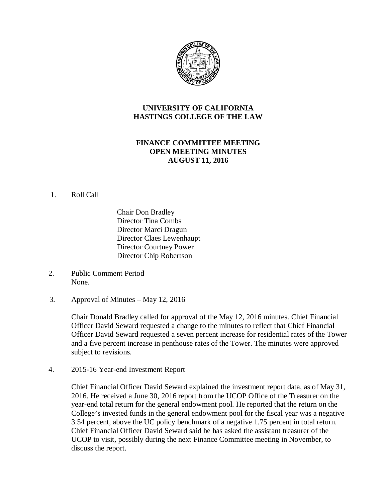

# **UNIVERSITY OF CALIFORNIA HASTINGS COLLEGE OF THE LAW**

# **FINANCE COMMITTEE MEETING OPEN MEETING MINUTES AUGUST 11, 2016**

#### 1. Roll Call

Chair Don Bradley Director Tina Combs Director Marci Dragun Director Claes Lewenhaupt Director Courtney Power Director Chip Robertson

- 2. Public Comment Period None.
- 3. Approval of Minutes May 12, 2016

Chair Donald Bradley called for approval of the May 12, 2016 minutes. Chief Financial Officer David Seward requested a change to the minutes to reflect that Chief Financial Officer David Seward requested a seven percent increase for residential rates of the Tower and a five percent increase in penthouse rates of the Tower. The minutes were approved subject to revisions.

4. 2015-16 Year-end Investment Report

Chief Financial Officer David Seward explained the investment report data, as of May 31, 2016. He received a June 30, 2016 report from the UCOP Office of the Treasurer on the year-end total return for the general endowment pool. He reported that the return on the College's invested funds in the general endowment pool for the fiscal year was a negative 3.54 percent, above the UC policy benchmark of a negative 1.75 percent in total return. Chief Financial Officer David Seward said he has asked the assistant treasurer of the UCOP to visit, possibly during the next Finance Committee meeting in November, to discuss the report.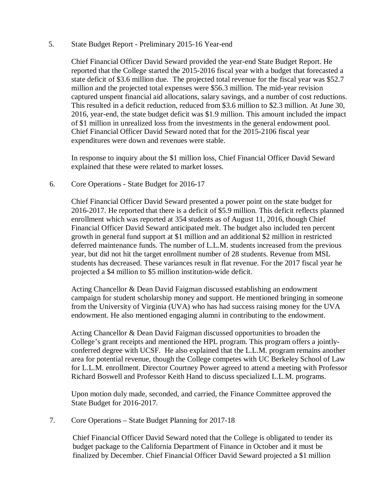#### 5. State Budget Report - Preliminary 2015-16 Year-end

Chief Financial Officer David Seward provided the year-end State Budget Report. He reported that the College started the 2015-2016 fiscal year with a budget that forecasted a state deficit of \$3.6 million due. The projected total revenue for the fiscal year was \$52.7 million and the projected total expenses were \$56.3 million. The mid-year revision captured unspent financial aid allocations, salary savings, and a number of cost reductions. This resulted in a deficit reduction, reduced from \$3.6 million to \$2.3 million. At June 30, 2016, year-end, the state budget deficit was \$1.9 million. This amount included the impact of \$1 million in unrealized loss from the investments in the general endowment pool. Chief Financial Officer David Seward noted that for the 2015-2106 fiscal year expenditures were down and revenues were stable.

In response to inquiry about the \$1 million loss, Chief Financial Officer David Seward explained that these were related to market losses.

#### 6. Core Operations - State Budget for 2016-17

Chief Financial Officer David Seward presented a power point on the state budget for 2016-2017. He reported that there is a deficit of \$5.9 million. This deficit reflects planned enrollment which was reported at 354 students as of August 11, 2016, though Chief Financial Officer David Seward anticipated melt. The budget also included ten percent growth in general fund support at \$1 million and an additional \$2 million in restricted deferred maintenance funds. The number of L.L.M. students increased from the previous year, but did not hit the target enrollment number of 28 students. Revenue from MSL students has decreased. These variances result in flat revenue. For the 2017 fiscal year he projected a \$4 million to \$5 million institution-wide deficit.

Acting Chancellor & Dean David Faigman discussed establishing an endowment campaign for student scholarship money and support. He mentioned bringing in someone from the University of Virginia (UVA) who has had success raising money for the UVA endowment. He also mentioned engaging alumni in contributing to the endowment.

Acting Chancellor & Dean David Faigman discussed opportunities to broaden the College's grant receipts and mentioned the HPL program. This program offers a jointlyconferred degree with UCSF. He also explained that the L.L.M. program remains another area for potential revenue, though the College competes with UC Berkeley School of Law for L.L.M. enrollment. Director Courtney Power agreed to attend a meeting with Professor Richard Boswell and Professor Keith Hand to discuss specialized L.L.M. programs.

Upon motion duly made, seconded, and carried, the Finance Committee approved the State Budget for 2016-2017.

7. Core Operations – State Budget Planning for 2017-18

Chief Financial Officer David Seward noted that the College is obligated to tender its budget package to the California Department of Finance in October and it must be finalized by December. Chief Financial Officer David Seward projected a \$1 million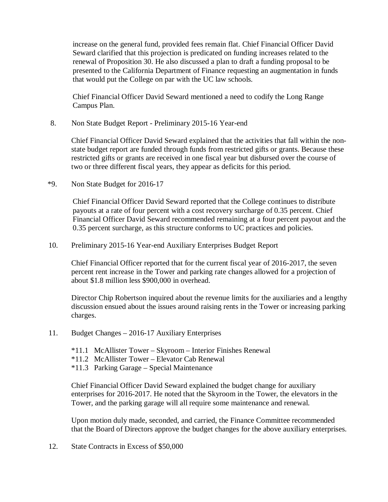increase on the general fund, provided fees remain flat. Chief Financial Officer David Seward clarified that this projection is predicated on funding increases related to the renewal of Proposition 30. He also discussed a plan to draft a funding proposal to be presented to the California Department of Finance requesting an augmentation in funds that would put the College on par with the UC law schools.

Chief Financial Officer David Seward mentioned a need to codify the Long Range Campus Plan.

8. Non State Budget Report - Preliminary 2015-16 Year-end

Chief Financial Officer David Seward explained that the activities that fall within the nonstate budget report are funded through funds from restricted gifts or grants. Because these restricted gifts or grants are received in one fiscal year but disbursed over the course of two or three different fiscal years, they appear as deficits for this period.

\*9. Non State Budget for 2016-17

Chief Financial Officer David Seward reported that the College continues to distribute payouts at a rate of four percent with a cost recovery surcharge of 0.35 percent. Chief Financial Officer David Seward recommended remaining at a four percent payout and the 0.35 percent surcharge, as this structure conforms to UC practices and policies.

10. Preliminary 2015-16 Year-end Auxiliary Enterprises Budget Report

Chief Financial Officer reported that for the current fiscal year of 2016-2017, the seven percent rent increase in the Tower and parking rate changes allowed for a projection of about \$1.8 million less \$900,000 in overhead.

Director Chip Robertson inquired about the revenue limits for the auxiliaries and a lengthy discussion ensued about the issues around raising rents in the Tower or increasing parking charges.

- 11. Budget Changes 2016-17 Auxiliary Enterprises
	- \*11.1 McAllister Tower Skyroom Interior Finishes Renewal
	- \*11.2 McAllister Tower Elevator Cab Renewal
	- \*11.3 Parking Garage Special Maintenance

Chief Financial Officer David Seward explained the budget change for auxiliary enterprises for 2016-2017. He noted that the Skyroom in the Tower, the elevators in the Tower, and the parking garage will all require some maintenance and renewal.

Upon motion duly made, seconded, and carried, the Finance Committee recommended that the Board of Directors approve the budget changes for the above auxiliary enterprises.

12. State Contracts in Excess of \$50,000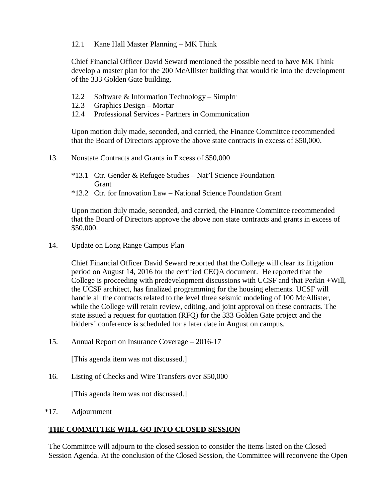### 12.1 Kane Hall Master Planning – MK Think

Chief Financial Officer David Seward mentioned the possible need to have MK Think develop a master plan for the 200 McAllister building that would tie into the development of the 333 Golden Gate building.

- 12.2 Software & Information Technology Simplrr
- 12.3 Graphics Design Mortar
- 12.4 Professional Services Partners in Communication

Upon motion duly made, seconded, and carried, the Finance Committee recommended that the Board of Directors approve the above state contracts in excess of \$50,000.

- 13. Nonstate Contracts and Grants in Excess of \$50,000
	- \*13.1 Ctr. Gender & Refugee Studies Nat'l Science Foundation **Grant**
	- \*13.2 Ctr. for Innovation Law National Science Foundation Grant

Upon motion duly made, seconded, and carried, the Finance Committee recommended that the Board of Directors approve the above non state contracts and grants in excess of \$50,000.

14. Update on Long Range Campus Plan

Chief Financial Officer David Seward reported that the College will clear its litigation period on August 14, 2016 for the certified CEQA document. He reported that the College is proceeding with predevelopment discussions with UCSF and that Perkin +Will, the UCSF architect, has finalized programming for the housing elements. UCSF will handle all the contracts related to the level three seismic modeling of 100 McAllister, while the College will retain review, editing, and joint approval on these contracts. The state issued a request for quotation (RFQ) for the 333 Golden Gate project and the bidders' conference is scheduled for a later date in August on campus.

15. Annual Report on Insurance Coverage – 2016-17

[This agenda item was not discussed.]

16. Listing of Checks and Wire Transfers over \$50,000

[This agenda item was not discussed.]

\*17. Adjournment

## **THE COMMITTEE WILL GO INTO CLOSED SESSION**

The Committee will adjourn to the closed session to consider the items listed on the Closed Session Agenda. At the conclusion of the Closed Session, the Committee will reconvene the Open